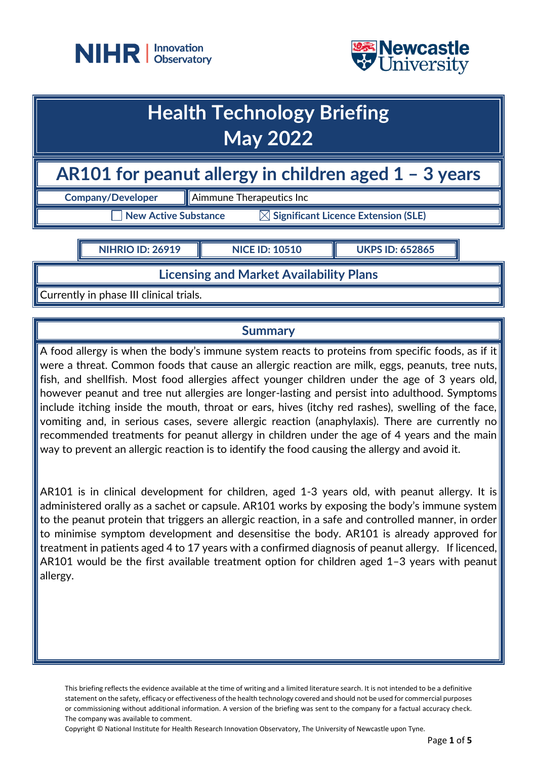



# **Health Technology Briefing May 2022**

## **AR101 for peanut allergy in children aged 1 – 3 years**

**Company/Developer Aimmune Therapeutics Inc** 

 $\mathsf T$  New Active Substance  $\mathbb K$  Significant Licence Extension (SLE)

**NIHRIO ID: 26919 NICE ID: 10510 UKPS ID: 652865**

**Licensing and Market Availability Plans**

Currently in phase III clinical trials.

## **Summary**

A food allergy is when the body's immune system reacts to proteins from specific foods, as if it were a threat. Common foods that cause an allergic reaction are milk, eggs, peanuts, tree nuts, fish, and shellfish. Most food allergies affect younger children under the age of 3 years old, however peanut and tree nut allergies are longer-lasting and persist into adulthood. Symptoms include itching inside the mouth, throat or ears, hives (itchy red rashes), swelling of the face, vomiting and, in serious cases, severe allergic reaction (anaphylaxis). There are currently no recommended treatments for peanut allergy in children under the age of 4 years and the main way to prevent an allergic reaction is to identify the food causing the allergy and avoid it.

AR101 is in clinical development for children, aged 1-3 years old, with peanut allergy. It is administered orally as a sachet or capsule. AR101 works by exposing the body's immune system to the peanut protein that triggers an allergic reaction, in a safe and controlled manner, in order to minimise symptom development and desensitise the body. AR101 is already approved for treatment in patients aged 4 to 17 years with a confirmed diagnosis of peanut allergy. If licenced, AR101 would be the first available treatment option for children aged 1–3 years with peanut allergy.

This briefing reflects the evidence available at the time of writing and a limited literature search. It is not intended to be a definitive statement on the safety, efficacy or effectiveness of the health technology covered and should not be used for commercial purposes or commissioning without additional information. A version of the briefing was sent to the company for a factual accuracy check. The company was available to comment.

Copyright © National Institute for Health Research Innovation Observatory, The University of Newcastle upon Tyne.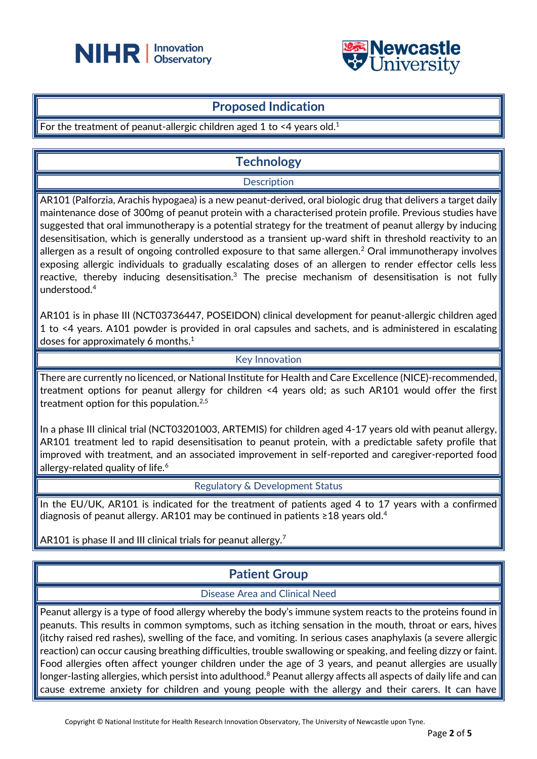



## **Proposed Indication**

For the treatment of peanut-allergic children aged 1 to <4 years old.<sup>1</sup>

## **Technology**

#### **Description**

AR101 (Palforzia, Arachis hypogaea) is a new peanut-derived, oral biologic drug that delivers a target daily maintenance dose of 300mg of peanut protein with a characterised protein profile. Previous studies have suggested that oral immunotherapy is a potential strategy for the treatment of peanut allergy by inducing desensitisation, which is generally understood as a transient up-ward shift in threshold reactivity to an allergen as a result of ongoing controlled exposure to that same allergen.<sup>2</sup> Oral immunotherapy involves exposing allergic individuals to gradually escalating doses of an allergen to render effector cells less reactive, thereby inducing desensitisation.<sup>3</sup> The precise mechanism of desensitisation is not fully understood.<sup>4</sup>

AR101 is in phase III (NCT03736447, POSEIDON) clinical development for peanut-allergic children aged 1 to <4 years. A101 powder is provided in oral capsules and sachets, and is administered in escalating doses for approximately 6 months.<sup>1</sup>

#### Key Innovation

There are currently no licenced, or National Institute for Health and Care Excellence (NICE)-recommended, treatment options for peanut allergy for children <4 years old; as such AR101 would offer the first treatment option for this population.2,5

In a phase III clinical trial (NCT03201003, ARTEMIS) for children aged 4-17 years old with peanut allergy, AR101 treatment led to rapid desensitisation to peanut protein, with a predictable safety profile that improved with treatment, and an associated improvement in self-reported and caregiver-reported food allergy-related quality of life.<sup>6</sup>

Regulatory & Development Status

In the EU/UK, AR101 is indicated for the treatment of patients aged 4 to 17 years with a confirmed diagnosis of peanut allergy. AR101 may be continued in patients ≥18 years old.<sup>4</sup>

AR101 is phase II and III clinical trials for peanut allergy.<sup>7</sup>

## **Patient Group**

#### Disease Area and Clinical Need

Peanut allergy is a type of food allergy whereby the body's immune system reacts to the proteins found in peanuts. This results in common symptoms, such as itching sensation in the mouth, throat or ears, hives (itchy raised red rashes), swelling of the face, and vomiting. In serious cases anaphylaxis (a severe allergic reaction) can occur causing breathing difficulties, trouble swallowing or speaking, and feeling dizzy or faint. Food allergies often affect younger children under the age of 3 years, and peanut allergies are usually longer-lasting allergies, which persist into adulthood.<sup>8</sup> Peanut allergy affects all aspects of daily life and can cause extreme anxiety for children and young people with the allergy and their carers. It can have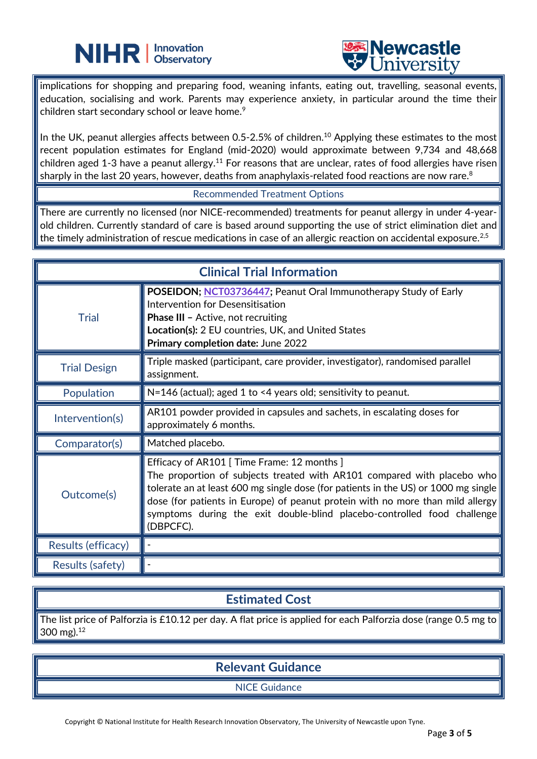



implications for shopping and preparing food, weaning infants, eating out, travelling, seasonal events, education, socialising and work. Parents may experience anxiety, in particular around the time their children start secondary school or leave home.<sup>9</sup>

֦

In the UK, peanut allergies affects between 0.5-2.5% of children.<sup>10</sup> Applying these estimates to the most recent population estimates for England (mid-2020) would approximate between 9,734 and 48,668 children aged 1-3 have a peanut allergy.<sup>11</sup> For reasons that are unclear, rates of food allergies have risen sharply in the last 20 years, however, deaths from anaphylaxis-related food reactions are now rare.<sup>8</sup>

#### Recommended Treatment Options

There are currently no licensed (nor NICE-recommended) treatments for peanut allergy in under 4-yearold children. Currently standard of care is based around supporting the use of strict elimination diet and the timely administration of rescue medications in case of an allergic reaction on accidental exposure.<sup>2,5</sup>

| <b>Clinical Trial Information</b> |                                                                                                                                                                                                                                                                                                                                                                                      |
|-----------------------------------|--------------------------------------------------------------------------------------------------------------------------------------------------------------------------------------------------------------------------------------------------------------------------------------------------------------------------------------------------------------------------------------|
| <b>Trial</b>                      | POSEIDON; NCT03736447; Peanut Oral Immunotherapy Study of Early<br>Intervention for Desensitisation<br><b>Phase III - Active, not recruiting</b><br>Location(s): 2 EU countries, UK, and United States<br>Primary completion date: June 2022                                                                                                                                         |
| <b>Trial Design</b>               | Triple masked (participant, care provider, investigator), randomised parallel<br>assignment.                                                                                                                                                                                                                                                                                         |
| Population                        | $N=146$ (actual); aged 1 to <4 years old; sensitivity to peanut.                                                                                                                                                                                                                                                                                                                     |
| Intervention(s)                   | AR101 powder provided in capsules and sachets, in escalating doses for<br>approximately 6 months.                                                                                                                                                                                                                                                                                    |
| Comparator(s)                     | Matched placebo.                                                                                                                                                                                                                                                                                                                                                                     |
| Outcome(s)                        | Efficacy of AR101 [Time Frame: 12 months]<br>The proportion of subjects treated with AR101 compared with placebo who<br>tolerate an at least 600 mg single dose (for patients in the US) or 1000 mg single<br>dose (for patients in Europe) of peanut protein with no more than mild allergy<br>symptoms during the exit double-blind placebo-controlled food challenge<br>(DBPCFC). |
| Results (efficacy)                |                                                                                                                                                                                                                                                                                                                                                                                      |
| Results (safety)                  |                                                                                                                                                                                                                                                                                                                                                                                      |

## **Estimated Cost**

The list price of Palforzia is £10.12 per day. A flat price is applied for each Palforzia dose (range 0.5 mg to 300 mg).<sup>12</sup>

## **Relevant Guidance**

NICE Guidance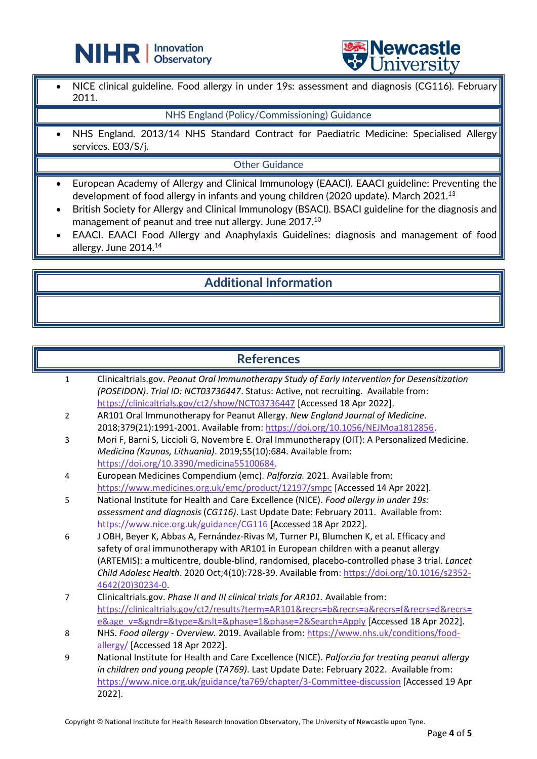



• NICE clinical guideline. Food allergy in under 19s: assessment and diagnosis (CG116). February 2011.

#### NHS England (Policy/Commissioning) Guidance

֦

• NHS England. 2013/14 NHS Standard Contract for Paediatric Medicine: Specialised Allergy services. E03/S/j.

#### Other Guidance

- European Academy of Allergy and Clinical Immunology (EAACI). EAACI guideline: Preventing the development of food allergy in infants and young children (2020 update). March 2021.<sup>13</sup>
- British Society for Allergy and Clinical Immunology (BSACI). BSACI guideline for the diagnosis and management of peanut and tree nut allergy. June 2017.<sup>10</sup>
- EAACI. EAACI Food Allergy and Anaphylaxis Guidelines: diagnosis and management of food allergy. June 2014.<sup>14</sup>

## **Additional Information**

#### **References**

| $\mathbf{1}$   | Clinicaltrials.gov. Peanut Oral Immunotherapy Study of Early Intervention for Desensitization<br>(POSEIDON). Trial ID: NCT03736447. Status: Active, not recruiting. Available from: |
|----------------|-------------------------------------------------------------------------------------------------------------------------------------------------------------------------------------|
|                | https://clinicaltrials.gov/ct2/show/NCT03736447 [Accessed 18 Apr 2022].                                                                                                             |
| $\overline{2}$ | AR101 Oral Immunotherapy for Peanut Allergy. New England Journal of Medicine.                                                                                                       |
|                | 2018;379(21):1991-2001. Available from: https://doi.org/10.1056/NEJMoa1812856.                                                                                                      |
| 3              | Mori F, Barni S, Liccioli G, Novembre E. Oral Immunotherapy (OIT): A Personalized Medicine.                                                                                         |
|                | Medicina (Kaunas, Lithuania). 2019;55(10):684. Available from:                                                                                                                      |
|                | https://doi.org/10.3390/medicina55100684.                                                                                                                                           |
| $\overline{4}$ | European Medicines Compendium (emc). Palforzia. 2021. Available from:                                                                                                               |
|                | https://www.medicines.org.uk/emc/product/12197/smpc [Accessed 14 Apr 2022].                                                                                                         |
| 5              | National Institute for Health and Care Excellence (NICE). Food allergy in under 19s:                                                                                                |
|                | assessment and diagnosis (CG116). Last Update Date: February 2011. Available from:                                                                                                  |
|                | https://www.nice.org.uk/guidance/CG116 [Accessed 18 Apr 2022].                                                                                                                      |
| 6              | J OBH, Beyer K, Abbas A, Fernández-Rivas M, Turner PJ, Blumchen K, et al. Efficacy and                                                                                              |
|                | safety of oral immunotherapy with AR101 in European children with a peanut allergy                                                                                                  |
|                | (ARTEMIS): a multicentre, double-blind, randomised, placebo-controlled phase 3 trial. Lancet                                                                                        |
|                | Child Adolesc Health. 2020 Oct;4(10):728-39. Available from: https://doi.org/10.1016/s2352-                                                                                         |
|                | 4642(20)30234-0.                                                                                                                                                                    |
| 7              | Clinicaltrials.gov. Phase II and III clinical trials for AR101. Available from:                                                                                                     |
|                | https://clinicaltrials.gov/ct2/results?term=AR101&recrs=b&recrs=a&recrs=f&recrs=d&recrs=                                                                                            |
|                | e&age_v=&gndr=&type=&rslt=&phase=1&phase=2&Search=Apply [Accessed 18 Apr 2022].                                                                                                     |
| 8              | NHS. Food allergy - Overview. 2019. Available from: https://www.nhs.uk/conditions/food-                                                                                             |
|                | allergy/ [Accessed 18 Apr 2022].                                                                                                                                                    |
| 9              | National Institute for Health and Care Excellence (NICE). Palforzia for treating peanut allergy                                                                                     |
|                | in children and young people (TA769). Last Update Date: February 2022. Available from:                                                                                              |
|                | https://www.nice.org.uk/guidance/ta769/chapter/3-Committee-discussion [Accessed 19 Apr                                                                                              |

Copyright © National Institute for Health Research Innovation Observatory, The University of Newcastle upon Tyne.

2022].